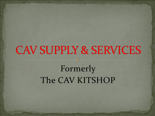# **CAV SUPPLY & SERVICES**

## Formerly The CAV KITSHOP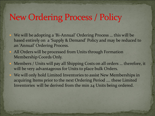### **New Ordering Process / Policy**

- We will be adopting a 'Bi-Annual' Ordering Process … this will be based entirely on a 'Supply & Demand' Policy and may be reduced to an 'Annual' Ordering Process.
- All Orders will be processed from Units through Formation Membership Coords Only.
	- Members / Units will pay all Shipping Costs on all orders … therefore, it will be very advantageous for Units to place bulk Orders.
- We will only hold Limited Inventories to assist New Memberships in acquiring Items prior to the next Ordering Period …. these Limited Inventories will be derived from the min 24 Units being ordered.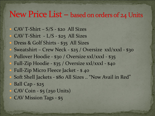#### New Price List  $-$  based on orders of 24 Units

- CAV T-Shirt S/S \$20 All Sizes
- CAV T-Shirt L/S \$25 All Sizes
- Dress & Golf Shirts \$35 All Sizes
- Sweatshirt Crew Neck \$25 / Oversize xxl/xxxl \$30
- Pullover Hoodie \$30 / Oversize xxl/xxxl \$35
- Full-Zip Hoodie \$35 / Oversize xxl/xxxl \$40 • Full-Zip Micro Fleece Jacket - \$40
- Soft Shell Jackets \$80 All Sizes .. "Now Avail in Red"
- Ball Cap \$25
- CAV Coin \$5 (250 Units)
- CAV Mission Tags \$5